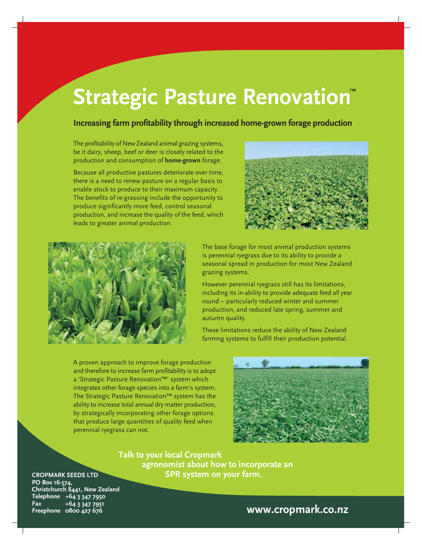# **Strategic Pasture Renovation**

### **Increasing farm profitability through increased home-grown forage production**

The profitability of New Zealand animal grazing systems, be it dairy, sheep, beef or deer is closely related to the production and consumption of **home-grown** forage.

Because all productive pastures deteriorate over time, there is a need to renew pasture on a regular basis to enable stock to produce to their maximum capacity. The benefits of re-grassing include the opportunity to produce significantly more feed, control seasonal production, and increase the quality of the feed, which leads to greater animal production.





The base forage for most animal production systems is perennial ryegrass due to its ability to provide a seasonal spread in production for most New Zealand grazing systems.

However perennial ryegrass still has its limitations, including its in-ability to provide adequate feed all year round – particularly reduced winter and summer production, and reduced late spring, summer and autumn quality.

These limitations reduce the ability of New Zealand farming systems to fulfill their production potential.

A proven approach to improve forage production and therefore to increase farm profitability is to adopt a 'Strategic Pasture Renovation™' system which integrates other forage species into a farm's system. The Strategic Pasture Renovation™ system has the ability to increase total annual dry matter production, by strategically incorporating other forage options that produce large quantities of quality feed when perennial ryegrass can not.



**Talk to your local Cropmark agronomist about how to incorporate an SPR system on your farm.**

#### **CROPMARK SEEDS LTD PO Box 16-574,**

**Christchurch 8441, New Zealand Telephone +64 3 347 7950 Fax +64 3 347 7951**

## **Freephone 0800 427 676 www.cropmark.co.nz**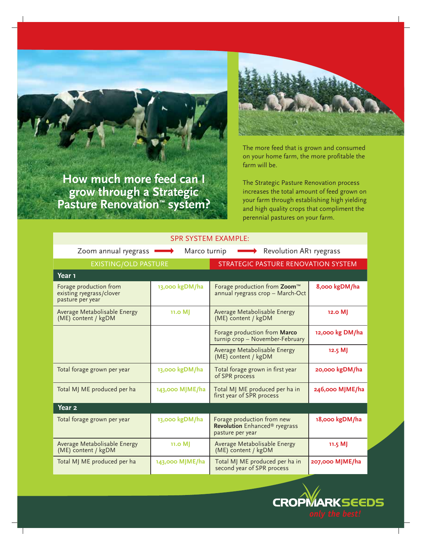**How much more feed can I grow through a Strategic Pasture Renovation™ system?**



The more feed that is grown and consumed on your home farm, the more profitable the farm will be.

The Strategic Pasture Renovation process increases the total amount of feed grown on your farm through establishing high yielding and high quality crops that compliment the perennial pastures on your farm.

| <b>SPR SYSTEM EXAMPLE:</b>                                             |                 |                                                                                             |                 |  |  |  |  |
|------------------------------------------------------------------------|-----------------|---------------------------------------------------------------------------------------------|-----------------|--|--|--|--|
| Zoom annual ryegrass<br>Revolution AR1 ryegrass<br>Marco turnip        |                 |                                                                                             |                 |  |  |  |  |
| EXISTING/OLD PASTURE                                                   |                 | <b>STRATEGIC PASTURE RENOVATION SYSTEM</b>                                                  |                 |  |  |  |  |
| Year 1                                                                 |                 |                                                                                             |                 |  |  |  |  |
| Forage production from<br>existing ryegrass/clover<br>pasture per year | 13,000 kgDM/ha  | Forage production from Zoom <sup>™</sup><br>annual ryegrass crop - March-Oct                | 8,000 kgDM/ha   |  |  |  |  |
| Average Metabolisable Energy<br>(ME) content / kgDM                    | 11.0 M          | Average Metabolisable Energy<br>(ME) content / kgDM                                         | $12.0$ M        |  |  |  |  |
|                                                                        |                 | Forage production from Marco<br>turnip crop - November-February                             | 12,000 kg DM/ha |  |  |  |  |
|                                                                        |                 | Average Metabolisable Energy<br>(ME) content / kgDM                                         | 12.5 M          |  |  |  |  |
| Total forage grown per year                                            | 13,000 kgDM/ha  | Total forage grown in first year<br>of SPR process                                          | 20,000 kgDM/ha  |  |  |  |  |
| Total MJ ME produced per ha                                            | 143,000 MJME/ha | Total MJ ME produced per ha in<br>first year of SPR process                                 | 246,000 MJME/ha |  |  |  |  |
| Year <sub>2</sub>                                                      |                 |                                                                                             |                 |  |  |  |  |
| Total forage grown per year                                            | 13,000 kgDM/ha  | Forage production from new<br>Revolution Enhanced <sup>®</sup> ryegrass<br>pasture per year | 18,000 kgDM/ha  |  |  |  |  |
| Average Metabolisable Energy<br>(ME) content / kgDM                    | 11.0 MJ         | Average Metabolisable Energy<br>(ME) content / kgDM                                         | $11.5$ MJ       |  |  |  |  |
| Total MJ ME produced per ha                                            | 143,000 MJME/ha | Total MJ ME produced per ha in<br>second year of SPR process                                | 207,000 MJME/ha |  |  |  |  |

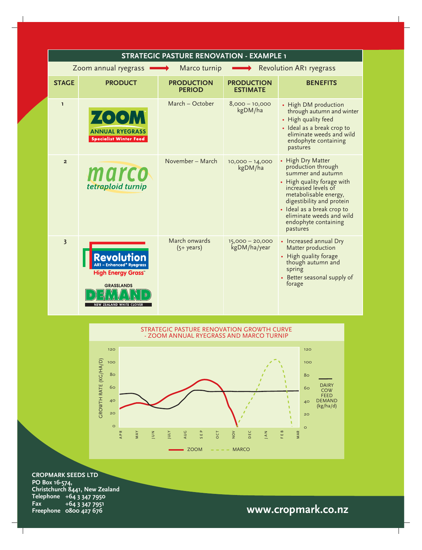| STRATEGIC PASTURE RENOVATION - EXAMPLE 1                        |                                                                                                          |                                    |                                      |                                                                                                                                                                                                                                                                       |  |  |
|-----------------------------------------------------------------|----------------------------------------------------------------------------------------------------------|------------------------------------|--------------------------------------|-----------------------------------------------------------------------------------------------------------------------------------------------------------------------------------------------------------------------------------------------------------------------|--|--|
| Revolution AR1 ryegrass<br>Zoom annual ryegrass<br>Marco turnip |                                                                                                          |                                    |                                      |                                                                                                                                                                                                                                                                       |  |  |
| <b>STAGE</b>                                                    | <b>PRODUCT</b>                                                                                           | <b>PRODUCTION</b><br><b>PERIOD</b> | <b>PRODUCTION</b><br><b>ESTIMATE</b> | <b>BENEFITS</b>                                                                                                                                                                                                                                                       |  |  |
| I.                                                              | <b>ZOOM</b><br><b>ANNUAL RYEGRASS</b><br><b>Specialist Winter Feed</b>                                   | March - October                    | $8,000 - 10,000$<br>kgDM/ha          | • High DM production<br>through autumn and winter<br>• High quality feed<br>· Ideal as a break crop to<br>eliminate weeds and wild<br>endophyte containing<br>pastures                                                                                                |  |  |
| $\overline{2}$                                                  | marco<br>tetraploid turnip                                                                               | November - March                   | $10,000 - 14,000$<br>kgDM/ha         | • High Dry Matter<br>production through<br>summer and autumn<br>• High quality forage with<br>increased levels of<br>metabolisable energy,<br>digestibility and protein<br>· Ideal as a break crop to<br>eliminate weeds and wild<br>endophyte containing<br>pastures |  |  |
| $\overline{\mathbf{3}}$                                         | - Enhanced® Ryearass<br><b>High Energy Grass</b><br><b>GRASSLANDS</b><br><b>NEW ZEALAND WHITE CLOVER</b> | March onwards<br>$(5+ years)$      | 15,000 - 20,000<br>kgDM/ha/year      | • Increased annual Dry<br>Matter production<br>• High quality forage<br>though autumn and<br>spring<br>• Better seasonal supply of<br>forage                                                                                                                          |  |  |



**CROPMARK SEEDS LTD PO Box 16-574, Christchurch 8441, New Zealand Telephone +64 3 347 7950 Fax +64 3 347 7951**

# **Freephone 0800 427 676 www.cropmark.co.nz**